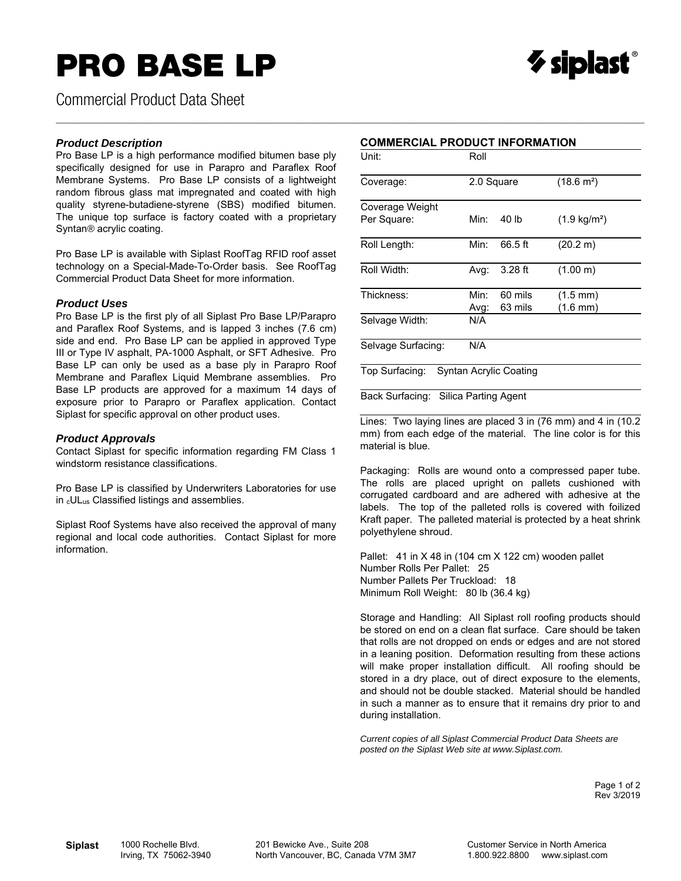# **PRO BASE LP**



Commercial Product Data Sheet

#### *Product Description*

Pro Base LP is a high performance modified bitumen base ply specifically designed for use in Parapro and Paraflex Roof Membrane Systems. Pro Base LP consists of a lightweight random fibrous glass mat impregnated and coated with high quality styrene-butadiene-styrene (SBS) modified bitumen. The unique top surface is factory coated with a proprietary Syntan*®* acrylic coating.

Pro Base LP is available with Siplast RoofTag RFID roof asset technology on a Special-Made-To-Order basis. See RoofTag Commercial Product Data Sheet for more information.

#### *Product Uses*

Pro Base LP is the first ply of all Siplast Pro Base LP/Parapro and Paraflex Roof Systems, and is lapped 3 inches (7.6 cm) side and end. Pro Base LP can be applied in approved Type III or Type IV asphalt, PA-1000 Asphalt, or SFT Adhesive. Pro Base LP can only be used as a base ply in Parapro Roof Membrane and Paraflex Liquid Membrane assemblies. Pro Base LP products are approved for a maximum 14 days of exposure prior to Parapro or Paraflex application. Contact Siplast for specific approval on other product uses.

#### *Product Approvals*

Contact Siplast for specific information regarding FM Class 1 windstorm resistance classifications.

Pro Base LP is classified by Underwriters Laboratories for use in cULus Classified listings and assemblies.

Siplast Roof Systems have also received the approval of many regional and local code authorities. Contact Siplast for more information.

### **COMMERCIAL PRODUCT INFORMATION**

 $\_$  , and the state of the state of the state of the state of the state of the state of the state of the state of the state of the state of the state of the state of the state of the state of the state of the state of the

| Unit:              | Roll       |                               |                        |  |  |
|--------------------|------------|-------------------------------|------------------------|--|--|
| Coverage:          | 2.0 Square |                               | $(18.6 \text{ m}^2)$   |  |  |
| Coverage Weight    |            |                               |                        |  |  |
| Per Square:        | Min:       | 40 lb                         | $(1.9 \text{ kg/m}^2)$ |  |  |
| Roll Length:       | Min:       | 66.5 ft                       | (20.2 m)               |  |  |
| Roll Width:        | Avg:       | $3.28$ ft                     | (1.00 m)               |  |  |
| Thickness:         | Min:       | 60 mils                       | $(1.5 \text{ mm})$     |  |  |
|                    | Avg:       | 63 mils                       | $(1.6 \text{ mm})$     |  |  |
| Selvage Width:     | N/A        |                               |                        |  |  |
| Selvage Surfacing: | N/A        |                               |                        |  |  |
| Top Surfacing:     |            | <b>Syntan Acrylic Coating</b> |                        |  |  |

Back Surfacing: Silica Parting Agent

Lines: Two laying lines are placed 3 in (76 mm) and 4 in (10.2 mm) from each edge of the material. The line color is for this material is blue.

Packaging: Rolls are wound onto a compressed paper tube. The rolls are placed upright on pallets cushioned with corrugated cardboard and are adhered with adhesive at the labels. The top of the palleted rolls is covered with foilized Kraft paper. The palleted material is protected by a heat shrink polyethylene shroud.

Pallet: 41 in X 48 in (104 cm X 122 cm) wooden pallet Number Rolls Per Pallet: 25 Number Pallets Per Truckload: 18 Minimum Roll Weight: 80 lb (36.4 kg)

Storage and Handling: All Siplast roll roofing products should be stored on end on a clean flat surface. Care should be taken that rolls are not dropped on ends or edges and are not stored in a leaning position. Deformation resulting from these actions will make proper installation difficult. All roofing should be stored in a dry place, out of direct exposure to the elements, and should not be double stacked. Material should be handled in such a manner as to ensure that it remains dry prior to and during installation.

*Current copies of all Siplast Commercial Product Data Sheets are posted on the Siplast Web site at www.Siplast.com.* 

> Page 1 of 2 Rev 3/2019